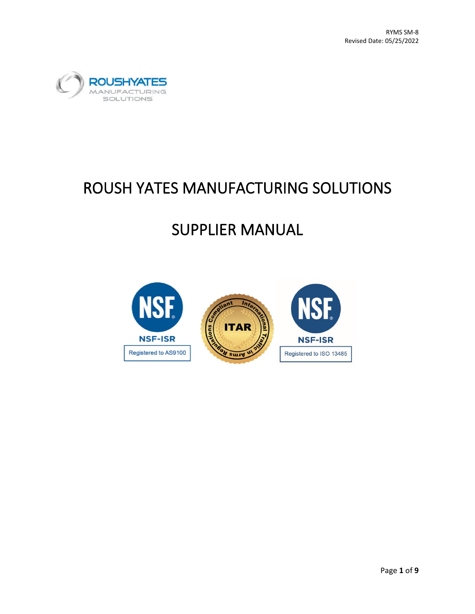

# ROUSH YATES MANUFACTURING SOLUTIONS

# SUPPLIER MANUAL

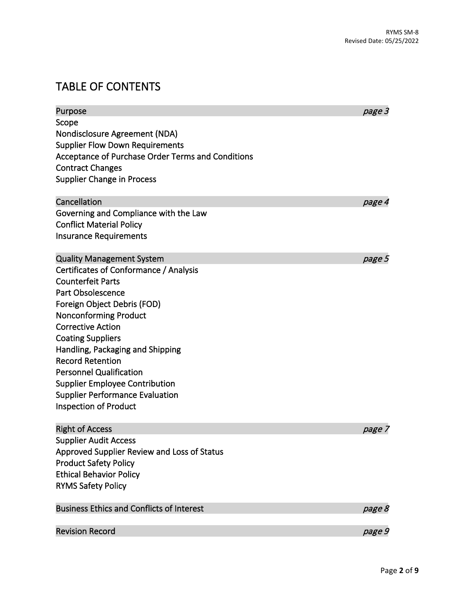## TABLE OF CONTENTS

| Scope<br>Nondisclosure Agreement (NDA)<br><b>Supplier Flow Down Requirements</b><br>Acceptance of Purchase Order Terms and Conditions<br><b>Contract Changes</b><br><b>Supplier Change in Process</b><br>Cancellation<br>page 4<br>Governing and Compliance with the Law<br><b>Conflict Material Policy</b><br><b>Insurance Requirements</b><br><b>Quality Management System</b><br>page 5<br>Certificates of Conformance / Analysis<br><b>Counterfeit Parts</b><br>Part Obsolescence<br>Foreign Object Debris (FOD)<br><b>Nonconforming Product</b><br><b>Corrective Action</b><br><b>Coating Suppliers</b><br>Handling, Packaging and Shipping<br><b>Record Retention</b><br><b>Personnel Qualification</b><br><b>Supplier Employee Contribution</b> | Purpose                                | page 3 |
|--------------------------------------------------------------------------------------------------------------------------------------------------------------------------------------------------------------------------------------------------------------------------------------------------------------------------------------------------------------------------------------------------------------------------------------------------------------------------------------------------------------------------------------------------------------------------------------------------------------------------------------------------------------------------------------------------------------------------------------------------------|----------------------------------------|--------|
|                                                                                                                                                                                                                                                                                                                                                                                                                                                                                                                                                                                                                                                                                                                                                        |                                        |        |
|                                                                                                                                                                                                                                                                                                                                                                                                                                                                                                                                                                                                                                                                                                                                                        |                                        |        |
|                                                                                                                                                                                                                                                                                                                                                                                                                                                                                                                                                                                                                                                                                                                                                        |                                        |        |
|                                                                                                                                                                                                                                                                                                                                                                                                                                                                                                                                                                                                                                                                                                                                                        |                                        |        |
|                                                                                                                                                                                                                                                                                                                                                                                                                                                                                                                                                                                                                                                                                                                                                        |                                        |        |
|                                                                                                                                                                                                                                                                                                                                                                                                                                                                                                                                                                                                                                                                                                                                                        |                                        |        |
|                                                                                                                                                                                                                                                                                                                                                                                                                                                                                                                                                                                                                                                                                                                                                        |                                        |        |
|                                                                                                                                                                                                                                                                                                                                                                                                                                                                                                                                                                                                                                                                                                                                                        |                                        |        |
|                                                                                                                                                                                                                                                                                                                                                                                                                                                                                                                                                                                                                                                                                                                                                        |                                        |        |
|                                                                                                                                                                                                                                                                                                                                                                                                                                                                                                                                                                                                                                                                                                                                                        |                                        |        |
|                                                                                                                                                                                                                                                                                                                                                                                                                                                                                                                                                                                                                                                                                                                                                        |                                        |        |
|                                                                                                                                                                                                                                                                                                                                                                                                                                                                                                                                                                                                                                                                                                                                                        |                                        |        |
|                                                                                                                                                                                                                                                                                                                                                                                                                                                                                                                                                                                                                                                                                                                                                        |                                        |        |
|                                                                                                                                                                                                                                                                                                                                                                                                                                                                                                                                                                                                                                                                                                                                                        |                                        |        |
|                                                                                                                                                                                                                                                                                                                                                                                                                                                                                                                                                                                                                                                                                                                                                        |                                        |        |
|                                                                                                                                                                                                                                                                                                                                                                                                                                                                                                                                                                                                                                                                                                                                                        |                                        |        |
|                                                                                                                                                                                                                                                                                                                                                                                                                                                                                                                                                                                                                                                                                                                                                        |                                        |        |
|                                                                                                                                                                                                                                                                                                                                                                                                                                                                                                                                                                                                                                                                                                                                                        |                                        |        |
|                                                                                                                                                                                                                                                                                                                                                                                                                                                                                                                                                                                                                                                                                                                                                        |                                        |        |
|                                                                                                                                                                                                                                                                                                                                                                                                                                                                                                                                                                                                                                                                                                                                                        |                                        |        |
|                                                                                                                                                                                                                                                                                                                                                                                                                                                                                                                                                                                                                                                                                                                                                        |                                        |        |
|                                                                                                                                                                                                                                                                                                                                                                                                                                                                                                                                                                                                                                                                                                                                                        |                                        |        |
|                                                                                                                                                                                                                                                                                                                                                                                                                                                                                                                                                                                                                                                                                                                                                        | <b>Supplier Performance Evaluation</b> |        |
| Inspection of Product                                                                                                                                                                                                                                                                                                                                                                                                                                                                                                                                                                                                                                                                                                                                  |                                        |        |
| <b>Right of Access</b><br>page 7                                                                                                                                                                                                                                                                                                                                                                                                                                                                                                                                                                                                                                                                                                                       |                                        |        |
| <b>Supplier Audit Access</b>                                                                                                                                                                                                                                                                                                                                                                                                                                                                                                                                                                                                                                                                                                                           |                                        |        |
| Approved Supplier Review and Loss of Status                                                                                                                                                                                                                                                                                                                                                                                                                                                                                                                                                                                                                                                                                                            |                                        |        |
| <b>Product Safety Policy</b>                                                                                                                                                                                                                                                                                                                                                                                                                                                                                                                                                                                                                                                                                                                           |                                        |        |
| <b>Ethical Behavior Policy</b>                                                                                                                                                                                                                                                                                                                                                                                                                                                                                                                                                                                                                                                                                                                         |                                        |        |
| <b>RYMS Safety Policy</b>                                                                                                                                                                                                                                                                                                                                                                                                                                                                                                                                                                                                                                                                                                                              |                                        |        |
| <b>Business Ethics and Conflicts of Interest</b><br>page 8                                                                                                                                                                                                                                                                                                                                                                                                                                                                                                                                                                                                                                                                                             |                                        |        |
| <b>Revision Record</b><br>page 9                                                                                                                                                                                                                                                                                                                                                                                                                                                                                                                                                                                                                                                                                                                       |                                        |        |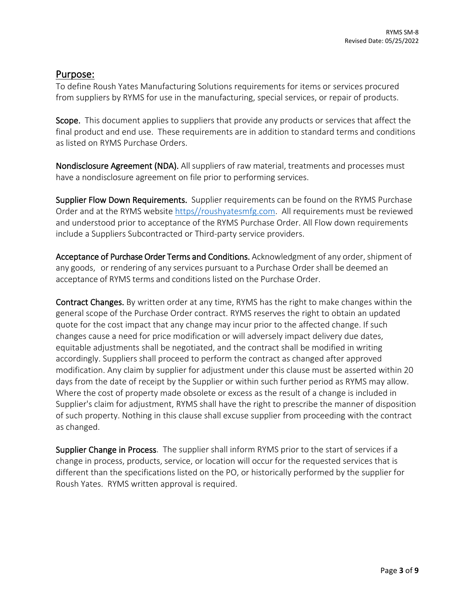#### Purpose:

To define Roush Yates Manufacturing Solutions requirements for items or services procured from suppliers by RYMS for use in the manufacturing, special services, or repair of products.

Scope. This document applies to suppliers that provide any products or services that affect the final product and end use. These requirements are in addition to standard terms and conditions as listed on RYMS Purchase Orders.

Nondisclosure Agreement (NDA). All suppliers of raw material, treatments and processes must have a nondisclosure agreement on file prior to performing services.

Supplier Flow Down Requirements. Supplier requirements can be found on the RYMS Purchase Order and at the RYMS website [https//roushyatesmfg.com.](https://roushyatesmfg.com/) All requirements must be reviewed and understood prior to acceptance of the RYMS Purchase Order. All Flow down requirements include a Suppliers Subcontracted or Third-party service providers.

Acceptance of Purchase Order Terms and Conditions. Acknowledgment of any order, shipment of any goods, or rendering of any services pursuant to a Purchase Order shall be deemed an acceptance of RYMS terms and conditions listed on the Purchase Order.

Contract Changes. By written order at any time, RYMS has the right to make changes within the general scope of the Purchase Order contract. RYMS reserves the right to obtain an updated quote for the cost impact that any change may incur prior to the affected change. If such changes cause a need for price modification or will adversely impact delivery due dates, equitable adjustments shall be negotiated, and the contract shall be modified in writing accordingly. Suppliers shall proceed to perform the contract as changed after approved modification. Any claim by supplier for adjustment under this clause must be asserted within 20 days from the date of receipt by the Supplier or within such further period as RYMS may allow. Where the cost of property made obsolete or excess as the result of a change is included in Supplier's claim for adjustment, RYMS shall have the right to prescribe the manner of disposition of such property. Nothing in this clause shall excuse supplier from proceeding with the contract as changed.

Supplier Change in Process. The supplier shall inform RYMS prior to the start of services if a change in process, products, service, or location will occur for the requested services that is different than the specifications listed on the PO, or historically performed by the supplier for Roush Yates. RYMS written approval is required.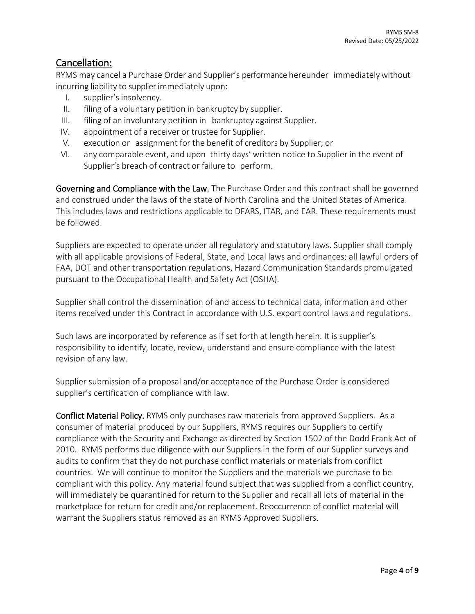#### Cancellation:

RYMS may cancel a Purchase Order and Supplier's performance hereunder immediatelywithout incurring liability to supplier immediately upon:

- I. supplier's insolvency.
- II. filing of a voluntary petition in bankruptcy by supplier.
- III. filing of an involuntary petition in bankruptcy against Supplier.
- IV. appointment of a receiver or trustee for Supplier.
- V. execution or assignment for the benefit of creditors by Supplier; or
- VI. any comparable event, and upon thirty days' written notice to Supplier in the event of Supplier's breach of contract or failure to perform.

Governing and Compliance with the Law. The Purchase Order and this contract shall be governed and construed under the laws of the state of North Carolina and the United States of America. This includes laws and restrictions applicable to DFARS, ITAR, and EAR. These requirements must be followed.

Suppliers are expected to operate under all regulatory and statutory laws. Supplier shall comply with all applicable provisions of Federal, State, and Local laws and ordinances; all lawful orders of FAA, DOT and other transportation regulations, Hazard Communication Standards promulgated pursuant to the Occupational Health and Safety Act (OSHA).

Supplier shall control the dissemination of and access to technical data, information and other items received under this Contract in accordance with U.S. export control laws and regulations.

Such laws are incorporated by reference as if set forth at length herein. It is supplier's responsibility to identify, locate, review, understand and ensure compliance with the latest revision of any law.

Supplier submission of a proposal and/or acceptance of the Purchase Order is considered supplier's certification of compliance with law.

Conflict Material Policy. RYMS only purchases raw materials from approved Suppliers. As a consumer of material produced by our Suppliers, RYMS requires our Suppliers to certify compliance with the Security and Exchange as directed by Section 1502 of the Dodd Frank Act of 2010. RYMS performs due diligence with our Suppliers in the form of our Supplier surveys and audits to confirm that they do not purchase conflict materials or materials from conflict countries. We will continue to monitor the Suppliers and the materials we purchase to be compliant with this policy. Any material found subject that was supplied from a conflict country, will immediately be quarantined for return to the Supplier and recall all lots of material in the marketplace for return for credit and/or replacement. Reoccurrence of conflict material will warrant the Suppliers status removed as an RYMS Approved Suppliers.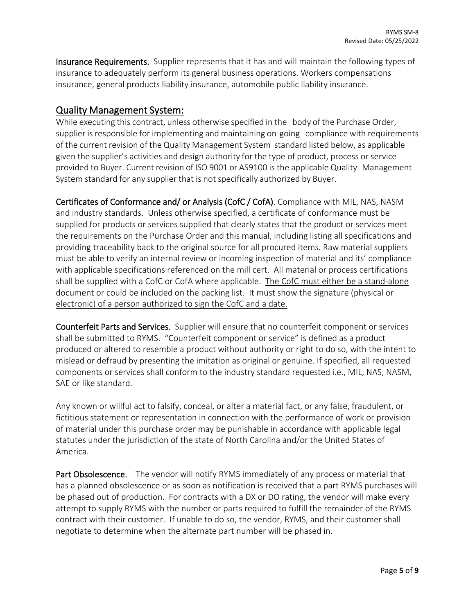Insurance Requirements. Supplier represents that it has and will maintain the following types of insurance to adequately perform its general business operations. Workers compensations insurance, general products liability insurance, automobile public liability insurance.

### Quality Management System:

While executing this contract, unless otherwise specified in the body of the Purchase Order, supplier is responsible for implementing and maintaining on-going compliance with requirements of the current revision of the Quality Management System standard listed below, as applicable given the supplier's activities and design authority for the type of product, process or service provided to Buyer. Current revision of ISO 9001 or AS9100 is the applicable Quality Management System standard for any supplier that is not specifically authorized by Buyer.

Certificates of Conformance and/ or Analysis (CofC / CofA). Compliance with MIL, NAS, NASM and industry standards. Unless otherwise specified, a certificate of conformance must be supplied for products or services supplied that clearly states that the product or services meet the requirements on the Purchase Order and this manual, including listing all specifications and providing traceability back to the original source for all procured items. Raw material suppliers must be able to verify an internal review or incoming inspection of material and its' compliance with applicable specifications referenced on the mill cert. All material or process certifications shall be supplied with a CofC or CofA where applicable. The CofC must either be a stand-alone document or could be included on the packing list. It must show the signature (physical or electronic) of a person authorized to sign the CofC and a date.

Counterfeit Parts and Services. Supplier will ensure that no counterfeit component or services shall be submitted to RYMS. "Counterfeit component or service" is defined as a product produced or altered to resemble a product without authority or right to do so, with the intent to mislead or defraud by presenting the imitation as original or genuine. If specified, all requested components or services shall conform to the industry standard requested i.e., MIL, NAS, NASM, SAE or like standard.

Any known or willful act to falsify, conceal, or alter a material fact, or any false, fraudulent, or fictitious statement or representation in connection with the performance of work or provision of material under this purchase order may be punishable in accordance with applicable legal statutes under the jurisdiction of the state of North Carolina and/or the United States of America.

Part Obsolescence. The vendor will notify RYMS immediately of any process or material that has a planned obsolescence or as soon as notification is received that a part RYMS purchases will be phased out of production. For contracts with a DX or DO rating, the vendor will make every attempt to supply RYMS with the number or parts required to fulfill the remainder of the RYMS contract with their customer. If unable to do so, the vendor, RYMS, and their customer shall negotiate to determine when the alternate part number will be phased in.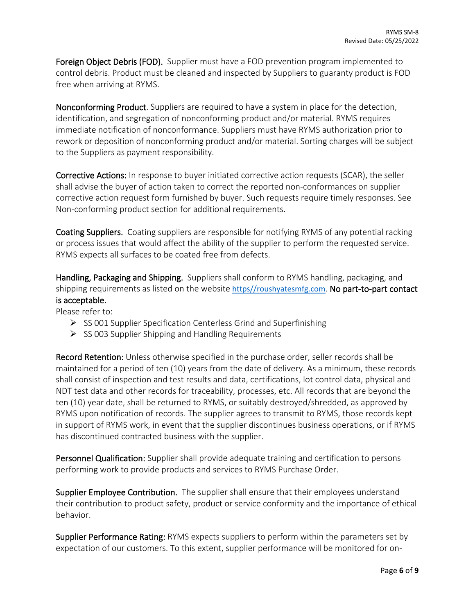Foreign Object Debris (FOD). Supplier must have a FOD prevention program implemented to control debris. Product must be cleaned and inspected by Suppliers to guaranty product is FOD free when arriving at RYMS.

Nonconforming Product. Suppliers are required to have a system in place for the detection, identification, and segregation of nonconforming product and/or material. RYMS requires immediate notification of nonconformance. Suppliers must have RYMS authorization prior to rework or deposition of nonconforming product and/or material. Sorting charges will be subject to the Suppliers as payment responsibility.

Corrective Actions: In response to buyer initiated corrective action requests (SCAR), the seller shall advise the buyer of action taken to correct the reported non-conformances on supplier corrective action request form furnished by buyer. Such requests require timely responses. See Non-conforming product section for additional requirements.

Coating Suppliers. Coating suppliers are responsible for notifying RYMS of any potential racking or process issues that would affect the ability of the supplier to perform the requested service. RYMS expects all surfaces to be coated free from defects.

Handling, Packaging and Shipping. Suppliers shall conform to RYMS handling, packaging, and shipping requirements as listed on the website [https//roushyatesmfg.com](https://roushyatesmfg.com/). No part-to-part contact is acceptable.

Please refer to:

- $\triangleright$  SS 001 Supplier Specification Centerless Grind and Superfinishing
- $\triangleright$  SS 003 Supplier Shipping and Handling Requirements

Record Retention: Unless otherwise specified in the purchase order, seller records shall be maintained for a period of ten (10) years from the date of delivery. As a minimum, these records shall consist of inspection and test results and data, certifications, lot control data, physical and NDT test data and other records for traceability, processes, etc. All records that are beyond the ten (10) year date, shall be returned to RYMS, or suitably destroyed/shredded, as approved by RYMS upon notification of records. The supplier agrees to transmit to RYMS, those records kept in support of RYMS work, in event that the supplier discontinues business operations, or if RYMS has discontinued contracted business with the supplier.

Personnel Qualification: Supplier shall provide adequate training and certification to persons performing work to provide products and services to RYMS Purchase Order.

Supplier Employee Contribution. The supplier shall ensure that their employees understand their contribution to product safety, product or service conformity and the importance of ethical behavior.

Supplier Performance Rating: RYMS expects suppliers to perform within the parameters set by expectation of our customers. To this extent, supplier performance will be monitored for on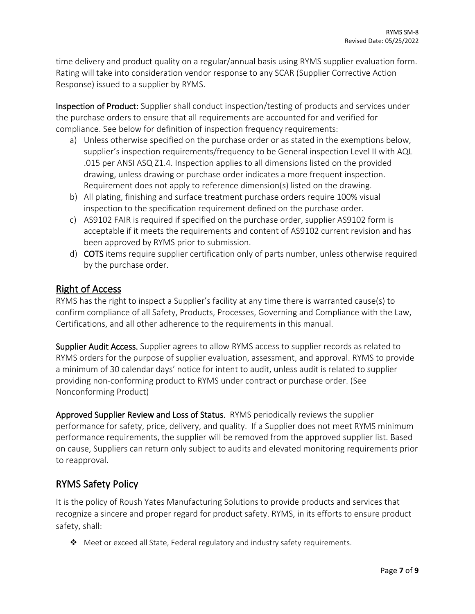time delivery and product quality on a regular/annual basis using RYMS supplier evaluation form. Rating will take into consideration vendor response to any SCAR (Supplier Corrective Action Response) issued to a supplier by RYMS.

Inspection of Product: Supplier shall conduct inspection/testing of products and services under the purchase orders to ensure that all requirements are accounted for and verified for compliance. See below for definition of inspection frequency requirements:

- a) Unless otherwise specified on the purchase order or as stated in the exemptions below, supplier's inspection requirements/frequency to be General inspection Level II with AQL .015 per ANSI ASQ Z1.4. Inspection applies to all dimensions listed on the provided drawing, unless drawing or purchase order indicates a more frequent inspection. Requirement does not apply to reference dimension(s) listed on the drawing.
- b) All plating, finishing and surface treatment purchase orders require 100% visual inspection to the specification requirement defined on the purchase order.
- c) AS9102 FAIR is required if specified on the purchase order, supplier AS9102 form is acceptable if it meets the requirements and content of AS9102 current revision and has been approved by RYMS prior to submission.
- d) COTS items require supplier certification only of parts number, unless otherwise required by the purchase order.

#### Right of Access

RYMS has the right to inspect a Supplier's facility at any time there is warranted cause(s) to confirm compliance of all Safety, Products, Processes, Governing and Compliance with the Law, Certifications, and all other adherence to the requirements in this manual.

Supplier Audit Access. Supplier agrees to allow RYMS access to supplier records as related to RYMS orders for the purpose of supplier evaluation, assessment, and approval. RYMS to provide a minimum of 30 calendar days' notice for intent to audit, unless audit is related to supplier providing non-conforming product to RYMS under contract or purchase order. (See Nonconforming Product)

Approved Supplier Review and Loss of Status. RYMS periodically reviews the supplier performance for safety, price, delivery, and quality. If a Supplier does not meet RYMS minimum performance requirements, the supplier will be removed from the approved supplier list. Based on cause, Suppliers can return only subject to audits and elevated monitoring requirements prior to reapproval.

### RYMS Safety Policy

It is the policy of Roush Yates Manufacturing Solutions to provide products and services that recognize a sincere and proper regard for product safety. RYMS, in its efforts to ensure product safety, shall:

 $\clubsuit$  Meet or exceed all State, Federal regulatory and industry safety requirements.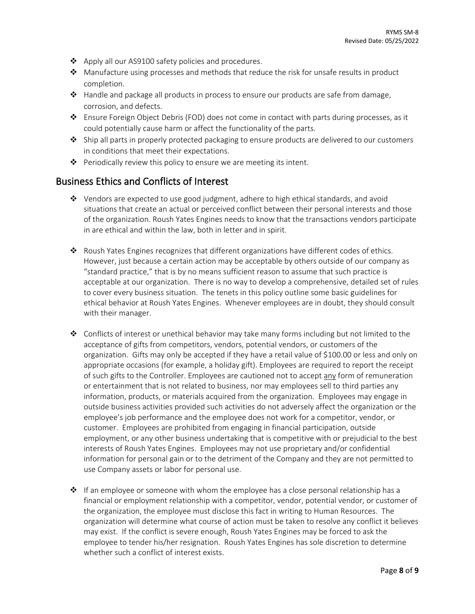- ❖ Apply all our AS9100 safety policies and procedures.
- ◆ Manufacture using processes and methods that reduce the risk for unsafe results in product completion.
- $\triangle$  Handle and package all products in process to ensure our products are safe from damage, corrosion, and defects.
- Ensure Foreign Object Debris (FOD) does not come in contact with parts during processes, as it could potentially cause harm or affect the functionality of the parts.
- $\div$  Ship all parts in properly protected packaging to ensure products are delivered to our customers in conditions that meet their expectations.
- $\triangleq$  Periodically review this policy to ensure we are meeting its intent.

#### Business Ethics and Conflicts of Interest

- $\triangle$  Vendors are expected to use good judgment, adhere to high ethical standards, and avoid situations that create an actual or perceived conflict between their personal interests and those of the organization. Roush Yates Engines needs to know that the transactions vendors participate in are ethical and within the law, both in letter and in spirit.
- Roush Yates Engines recognizes that different organizations have different codes of ethics. However, just because a certain action may be acceptable by others outside of our company as "standard practice," that is by no means sufficient reason to assume that such practice is acceptable at our organization. There is no way to develop a comprehensive, detailed set of rules to cover every business situation. The tenets in this policy outline some basic guidelines for ethical behavior at Roush Yates Engines. Whenever employees are in doubt, they should consult with their manager.
- $\triangleleft$  Conflicts of interest or unethical behavior may take many forms including but not limited to the acceptance of gifts from competitors, vendors, potential vendors, or customers of the organization. Gifts may only be accepted if they have a retail value of \$100.00 or less and only on appropriate occasions (for example, a holiday gift). Employees are required to report the receipt of such gifts to the Controller. Employees are cautioned not to accept any form of remuneration or entertainment that is not related to business, nor may employees sell to third parties any information, products, or materials acquired from the organization. Employees may engage in outside business activities provided such activities do not adversely affect the organization or the employee's job performance and the employee does not work for a competitor, vendor, or customer. Employees are prohibited from engaging in financial participation, outside employment, or any other business undertaking that is competitive with or prejudicial to the best interests of Roush Yates Engines. Employees may not use proprietary and/or confidential information for personal gain or to the detriment of the Company and they are not permitted to use Company assets or labor for personal use.
- $\cdot \cdot$  If an employee or someone with whom the employee has a close personal relationship has a financial or employment relationship with a competitor, vendor, potential vendor, or customer of the organization, the employee must disclose this fact in writing to Human Resources. The organization will determine what course of action must be taken to resolve any conflict it believes may exist. If the conflict is severe enough, Roush Yates Engines may be forced to ask the employee to tender his/her resignation. Roush Yates Engines has sole discretion to determine whether such a conflict of interest exists.